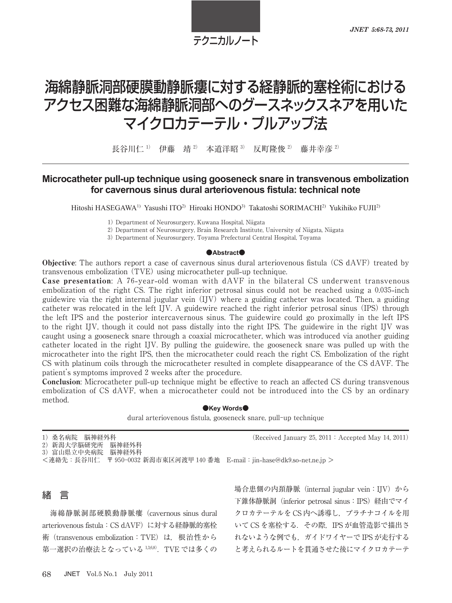# テクニカルノート

# 海綿静脈洞部硬膜動静脈瘻に対する経静脈的塞栓術における アクセス困難な海綿静脈洞部へのグースネックスネアを用いた マイクロカテーテル・プルアップ法

長谷川仁<sup>1)</sup> 伊藤 靖<sup>2)</sup> 本道洋昭<sup>3)</sup> 反町隆俊<sup>2)</sup> 藤井幸彦<sup>2)</sup>

## **Microcatheter pull-up technique using gooseneck snare in transvenous embolization** for cavernous sinus dural arteriovenous fistula: technical note

Hitoshi HASEGAWA<sup>1)</sup> Yasushi ITO<sup>2)</sup> Hiroaki HONDO<sup>3)</sup> Takatoshi SORIMACHI<sup>2)</sup> Yukihiko FUJII<sup>2)</sup>

Department of Neurosurgery, Kuwana Hospital, Niigata

Department of Neurosurgery, Brain Research Institute, University of Niigata, Niigata

Department of Neurosurgery, Toyama Prefectural Central Hospital, Toyama

#### ●**Abstract**●

Objective: The authors report a case of cavernous sinus dural arteriovenous fistula (CS dAVF) treated by transvenous embolization TVE using microcatheter pull**-**up technique.

**Case presentation:** A 76-year-old woman with dAVF in the bilateral CS underwent transvenous embolization of the right CS. The right inferior petrosal sinus could not be reached using a 0.035-inch guidewire via the right internal jugular vein (IJV) where a guiding catheter was located. Then, a guiding catheter was relocated in the left IJV. A guidewire reached the right inferior petrosal sinus (IPS) through the left IPS and the posterior intercavernous sinus. The guidewire could go proximally in the left IPS to the right IJV, though it could not pass distally into the right IPS. The guidewire in the right IJV was caught using a gooseneck snare through a coaxial microcatheter, which was introduced via another guiding catheter located in the right IJV. By pulling the guidewire, the gooseneck snare was pulled up with the microcatheter into the right IPS, then the microcatheter could reach the right CS. Embolization of the right CS with platinum coils through the microcatheter resulted in complete disappearance of the CS dAVF. The patient's symptoms improved 2 weeks after the procedure.

Conclusion: Microcatheter pull**-**up technique might be effective to reach an affected CS during transvenous embolization of CS dAVF, when a microcatheter could not be introduced into the CS by an ordinary method.

#### $\bullet$ **Kev Words** $\bullet$

dural arteriovenous fistula, gooseneck snare, pull-up technique

1)桑名病院 脳神経外科 (Received January 25, 2011 : Accepted May 14, 2011) )新潟大学脳研究所 脳神経外科 )富山県立中央病院 脳神経外科 <連絡先:長谷川仁 〒 新潟市東区河渡甲 番地 E**-**mail:jin**-**hase@dk.so**-**net.ne.jp >



海綿静脈洞部硬膜動静脈瘻(cavernous sinus dural arteriovenous fistula: CS dAVF)に対する経静脈的塞栓 術(transvenous embolization:TVE)は,根治性から 第一選択の治療法となっている $1368$ . TVE では多くの 場合患側の内頚静脈(internal jugular vein:IJV)から 下錐体静脈洞 (inferior petrosal sinus: IPS) 経由でマイ クロカテーテルを CS 内へ誘導し,プラチナコイルを用 いて CS を塞栓する. その際, IPS が血管造影で描出さ れないような例でも、ガイドワイヤーで IPS が走行する と考えられるルートを貫通させた後にマイクロカテーテ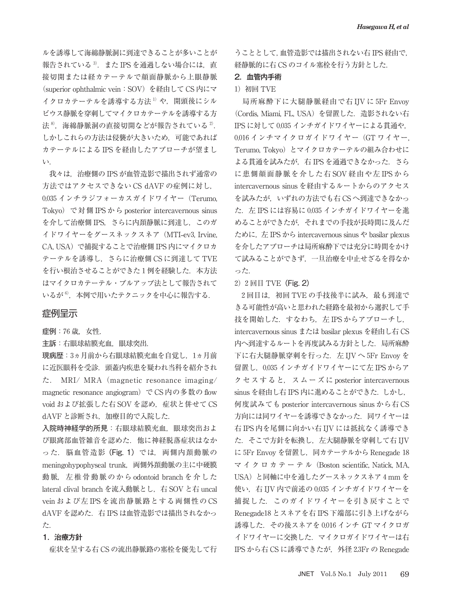ルを誘導して海綿静脈洞に到達できることが多いことが 報告されている<sup>3)</sup>. また IPS を通過しない場合には、直 接切開または経カテーテルで顔面静脈から上眼静脈 (superior ophthalmic vein:SOV)を経由して CS 内にマ イクロカテーテルを誘導する方法1)や、開頭後にシル ビウス静脈を穿刺してマイクロカテーテルを誘導する方 法 $8$ . 海綿静脈洞の直接切開などが報告されている $2$ . しかしこれらの方法は侵襲が大きいため,可能であれば カテーテルによる IPS を経由したアプローチが望まし い.

我々は,治療側の IPS が血管造影で描出されず通常の 方法ではアクセスできない CS dAVF の症例に対し, 0.035 インチラジフォーカスガイドワイヤー (Terumo, Tokyo)で対側 IPS から posterior intercavernous sinus を介して治療側 IPS, さらに内頚静脈に到達し、このガ イドワイヤーをグースネックスネア(MTI**-**ev, Irvine, CA, USA)で捕捉することで治療側 IPS 内にマイクロカ テーテルを誘導し,さらに治療側 CS に到達して TVE を行い根治させることができた1例を経験した. 本方法 はマイクロカテーテル・プルアップ法として報告されて いるが<sup>6)</sup>,本例で用いたテクニックを中心に報告する.

## 症例呈示

症例: 歳,女性.

主訴:右眼球結膜充血,眼球突出.

現病歴: 3ヵ月前から右眼球結膜充血を自覚し、1ヵ月前 に近医眼科を受診.頭蓋内疾患を疑われ当科を紹介され た. MRI/ MRA(magnetic resonance imaging/ magnetic resonance angiogram) で CS 内の多数の flow void および拡張した右 SOV を認め、症状と併せて CS dAVF と診断され、加療目的で入院した.

入院時神経学的所見:右眼球結膜充血,眼球突出およ び眼窩部血管雑音を認めた.他に神経脱落症状はなか った. 脳血管造影 (Fig. 1) では、 両側内頚動脈の meningohypophyseal trunk, 両側外頚動脈の主に中硬膜 動脈,左椎骨動脈のから odontoid branch を介した lateral clival branch を流入動脈とし, 右 SOV と右 uncal vein および左 IPS を流出静脈路とする両側性の CS dAVF を認めた. 右 IPS は血管造影では描出されなかっ た.

#### 1.治療方針

症状を呈する右 CS の流出静脈路の塞栓を優先して行

うこととして,血管造影では描出されない右 IPS 経由で, 経静脈的に右 CS のコイル塞栓を行う方針とした.

## 2.血管内手術

#### )初回 TVE

局所麻酔下に大腿静脈経由で右 IJV に 5Fr Envoy (Cordis, Miami, FL, USA) を留置した. 造影されない右 IPS に対して 0.035 インチガイドワイヤーによる貫通や. 0.016 インチマイクロガイドワイヤー (GT ワイヤー, Terumo, Tokyo)とマイクロカテーテルの組み合わせに よる貫通を試みたが、右 IPS を通過できなかった. さら に患側顔面静脈を介した右 SOV 経由や左 IPS から intercavernous sinus を経由するルートからのアクセス を試みたが,いずれの方法でも右 CS へ到達できなかっ た. 左 IPS には容易に 0.035 インチガイドワイヤーを進 めることができたが,それまでの手技が長時間に及んだ ために,左 IPS から intercavernous sinus や basilar plexus を介したアプローチは局所麻酔下では充分に時間をかけ て試みることができず,一旦治療を中止せざるを得なか った.

 $2)$  2 回目 TVE (Fig. 2)

2回目は、初回 TVE の手技後半に試み、最も到達で きる可能性が高いと思われた経路を最初から選択して手 技を開始した. すなわち, 左 IPS からアプローチし, intercavernous sinus または basilar plexus を経由し右 CS 内へ到達するルートを再度試みる方針とした.局所麻酔 下に右大腿静脈穿刺を行った. 左 IJV へ 5Fr Envoy を 留置し, 0.035 インチガイドワイヤーにて左 IPS からア クセスすると,スムーズに posterior intercavernous sinus を経由し右 IPS 内に進めることができた.しかし, 何度試みても posterior intercavernous sinus から右 CS 方向には同ワイヤーを誘導できなかった.同ワイヤーは 右 IPS 内を尾側に向かい右 IJV には抵抗なく誘導でき た. そこで方針を転換し、左大腿静脈を穿刺して右 IJV に 5Fr Envoy を留置し、同カテーテルから Renegade 18 マ イ ク ロ カ テ ー テ ル(Boston scientific, Natick, MA, USA)と同軸に中を通したグースネックスネア 4 mm を 使い, 右 IJV 内で前述の 0.035 インチガイドワイヤーを 捕捉した.このガイドワイヤーを引き戻すことで Renegade18 とスネアを右 IPS 下端部に引き上げながら 誘導した. その後スネアを 0.016 インチ GT マイクロガ イドワイヤーに交換した.マイクロガイドワイヤーは右 IPS から右 CS に誘導できたが, 外径 2.3Fr の Renegade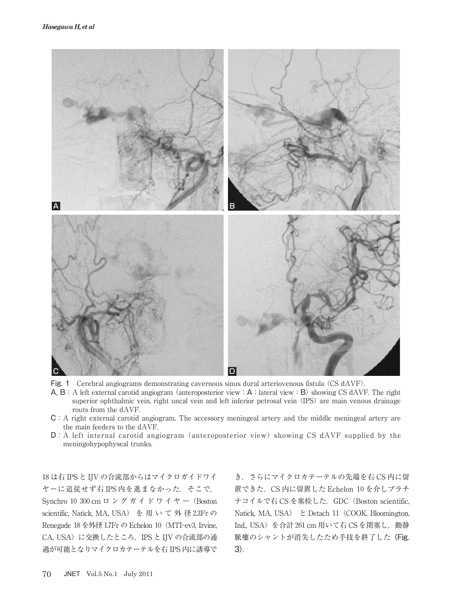

- Fig. 1 Cerebral angiograms demonstrating cavernous sinus dural arteriovenous fistula (CS dAVF).
- A, B: A left external carotid angiogram (anteroposterior view: A; lateral view: B) showing CS dAVF. The right superior ophthalmic vein, right uncal vein and left inferior petrosal vein (IPS) are main venous drainage routs from the dAVF.
- C:A right external carotid angiogram. The accessory meningeal artery and the middle meningeal artery are the main feeders to the dAVF.
- $D: A$  left internal carotid angiogram (anteroposterior view) showing CS dAVF supplied by the meningohypophyseal trunks.

 は右 IPS と IJV の合流部からはマイクロガイドワイ ヤーに追従せず右 IPS内を進まなかった. そこで, Synchro 10 300 cm ロ ン グ ガ イ ド ワ イ ヤ ー (Boston scientific, Natick, MA, USA) を用いて外径2.3Frの Renegade 18 を外径 1.7Fr の Echelon 10 (MTI-ev3, Irvine, CA, USA)に交換したところ, IPS と IJV の合流部の通 過が可能となりマイクロカテーテルを右 IPS 内に誘導で

き,さらにマイクロカテーテルの先端を右 CS 内に留 置できた. CS 内に留置した Echelon 10 を介しプラチ ナコイルで右 CS を塞栓した. GDC (Boston scientific, Natick, MA, USA) と Detach 11 (COOK, Bloomington, Ind., USA) を合計 261 cm 用いて右 CS を閉塞し, 動静 脈瘻のシャントが消失したため手技を終了した(Fig. 3).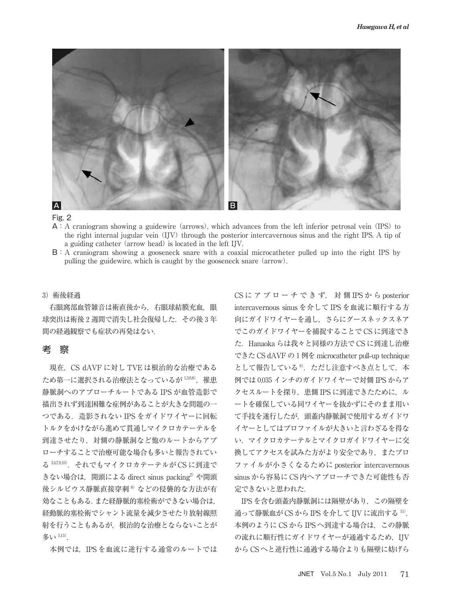

#### Fig. 2

- $A: A$  craniogram showing a guidewire (arrows), which advances from the left inferior petrosal vein (IPS) to the right internal jugular vein IJV through the posterior intercavernous sinus and the right IPS. A tip of a guiding catheter (arrow head) is located in the left IJV.
- B:A craniogram showing a gooseneck snare with a coaxial microcatheter pulled up into the right IPS by pulling the guidewire, which is caught by the gooseneck snare (arrow).

#### )術後経過

右眼窩部血管雑音は術直後から、右眼球結膜充血, 眼 球突出は術後2週間で消失し社会復帰した. その後3年 間の経過観察でも症状の再発はない.

## 考 察

現在, CS dAVF に対し TVE は根治的な治療である ため第一に選択される治療法となっているが 1,3,68). 罹患 静脈洞へのアプローチルートである IPS が血管造影で 描出されず到達困難な症例があることが大きな問題の一 つである.造影されない IPS をガイドワイヤーに回転 トルクをかけながら進めて貫通しマイクロカテーテルを 到達させたり,対側の静脈洞など他のルートからアプ ローチすることで治療可能な場合も多いと報告されてい る 3,47,9,10). それでもマイクロカテーテルが CS に到達で きない場合は、開頭による direct sinus packing<sup>2)</sup> や開頭 後シルビウス静脈直接穿刺<sup>8</sup>などの侵襲的な方法が有 効なこともある.また経静脈的塞栓術ができない場合は, 経動脈的塞栓術でシャント流量を減少させたり放射線照 射を行うこともあるが,根治的な治療とならないことが 多い $5,13$ .

本例では,IPS を血流に逆行する通常のルートでは

CS に ア プ ロ ー チ で き ず, 対 側 IPS か ら posterior intercavernous sinus を介して IPS を血流に順行する方 向にガイドワイヤーを通し,さらにグースネックスネア でこのガイドワイヤーを捕捉することで CS に到達でき た.Hanaoka らは我々と同様の方法で CS に到達し治療 できた CS dAVF の 例を microcatheter pull**-**up technique として報告している<sup>6</sup>. ただし注意すべき点として、本 例では 0.035 インチのガイドワイヤーで対側 IPS からア クセスルートを探り, 患側 IPS に到達できたために, ル ートを確保している同ワイヤーを抜かずにそのまま用い て手技を遂行したが,頭蓋内静脈洞で使用するガイドワ イヤーとしてはプロファイルが大きいと言わざるを得な い.マイクロカテーテルとマイクロガイドワイヤーに交 換してアクセスを試みた方がより安全であり,またプロ ファイルが小さくなるために posterior intercavernous sinus から容易に CS 内へアプローチできた可能性も否 定できないと思われた.

IPS を含む頭蓋内静脈洞には隔壁があり,この隔壁を 通って静脈血が CS から IPS を介して IJV に流出する  $11$ . 本例のように CS から IPS へ到達する場合は,この静脈 の流れに順行性にガイドワイヤーが通過するため、IJV から CS へと逆行性に通過する場合よりも隔壁に妨げら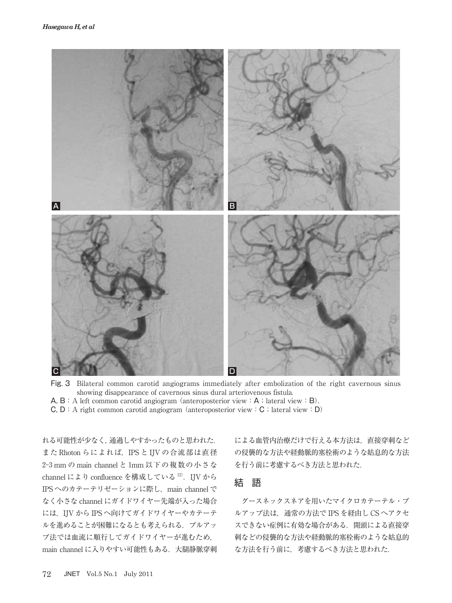

- Fig. 3 Bilateral common carotid angiograms immediately after embolization of the right cavernous sinus showing disappearance of cavernous sinus dural arteriovenous fistula.
- A,  $B: A$  left common carotid angiogram (anteroposterior view:  $A: A$  lateral view: B).
- $C, D: A$  right common carotid angiogram (anteroposterior view: C; lateral view: D)

れる可能性が少なく,通過しやすかったものと思われた. また Rhoton らによれば、IPS と IJV の合流部は直径 2-3 mm の main channel と 1mm 以下の複数の小さな channel により confluence を構成している<sup>12)</sup>. IJV から IPS へのカテーテリゼーションに際し、main channel で なく小さな channel にガイドワイヤー先端が入った場合 には,IJV から IPS へ向けてガイドワイヤーやカテーテ ルを進めることが困難になるとも考えられる.プルアッ プ法では血流に順行してガイドワイヤーが進むため, main channel に入りやすい可能性もある. 大腿静脈穿刺 による血管内治療だけで行える本方法は,直接穿刺など の侵襲的な方法や経動脈的塞栓術のような姑息的な方法 を行う前に考慮するべき方法と思われた.

## 結 語

グースネックスネアを用いたマイクロカテーテル・プ ルアップ法は,通常の方法で IPS を経由し CS へアクセ スできない症例に有効な場合がある.開頭による直接穿 刺などの侵襲的な方法や経動脈的塞栓術のような姑息的 な方法を行う前に,考慮するべき方法と思われた.